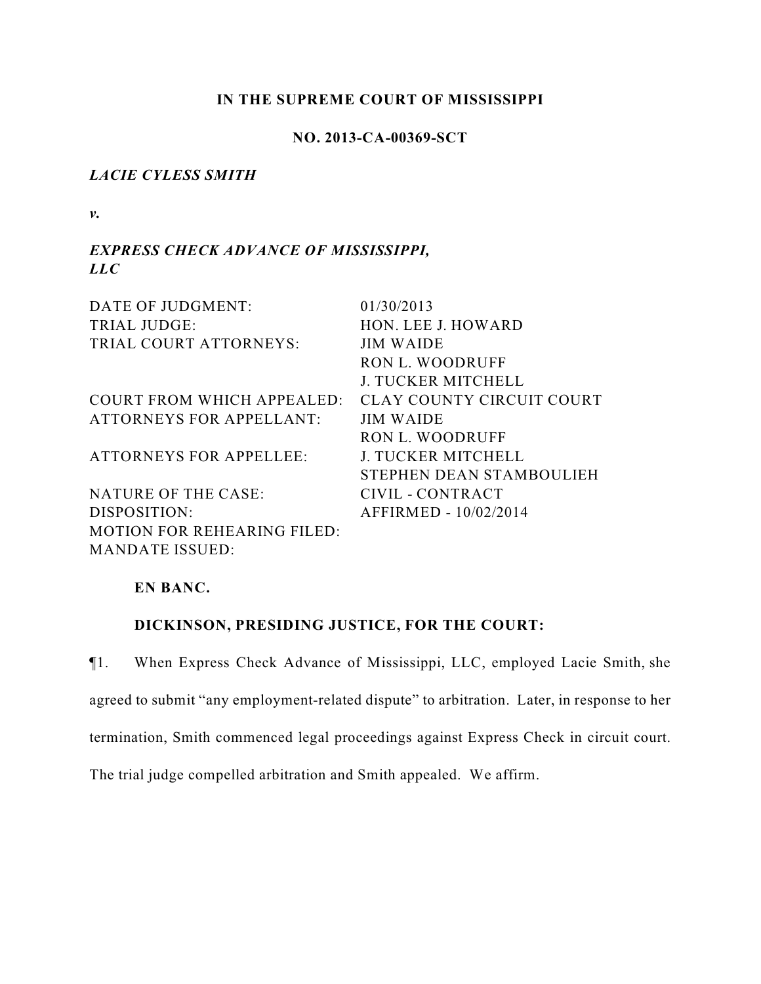### **IN THE SUPREME COURT OF MISSISSIPPI**

### **NO. 2013-CA-00369-SCT**

## *LACIE CYLESS SMITH*

*v.*

# *EXPRESS CHECK ADVANCE OF MISSISSIPPI, LLC*

| DATE OF JUDGMENT:                  | 01/30/2013                |
|------------------------------------|---------------------------|
| <b>TRIAL JUDGE:</b>                | HON. LEE J. HOWARD        |
| TRIAL COURT ATTORNEYS:             | <b>JIM WAIDE</b>          |
|                                    | RON L. WOODRUFF           |
|                                    | <b>J. TUCKER MITCHELL</b> |
| COURT FROM WHICH APPEALED:         | CLAY COUNTY CIRCUIT COURT |
| <b>ATTORNEYS FOR APPELLANT:</b>    | <b>JIM WAIDE</b>          |
|                                    | RON L. WOODRUFF           |
| <b>ATTORNEYS FOR APPELLEE:</b>     | <b>J. TUCKER MITCHELL</b> |
|                                    | STEPHEN DEAN STAMBOULIEH  |
| NATURE OF THE CASE:                | CIVIL - CONTRACT          |
| DISPOSITION:                       | AFFIRMED - 10/02/2014     |
| <b>MOTION FOR REHEARING FILED:</b> |                           |
| <b>MANDATE ISSUED:</b>             |                           |

## **EN BANC.**

# **DICKINSON, PRESIDING JUSTICE, FOR THE COURT:**

¶1. When Express Check Advance of Mississippi, LLC, employed Lacie Smith, she agreed to submit "any employment-related dispute" to arbitration. Later, in response to her termination, Smith commenced legal proceedings against Express Check in circuit court. The trial judge compelled arbitration and Smith appealed. We affirm.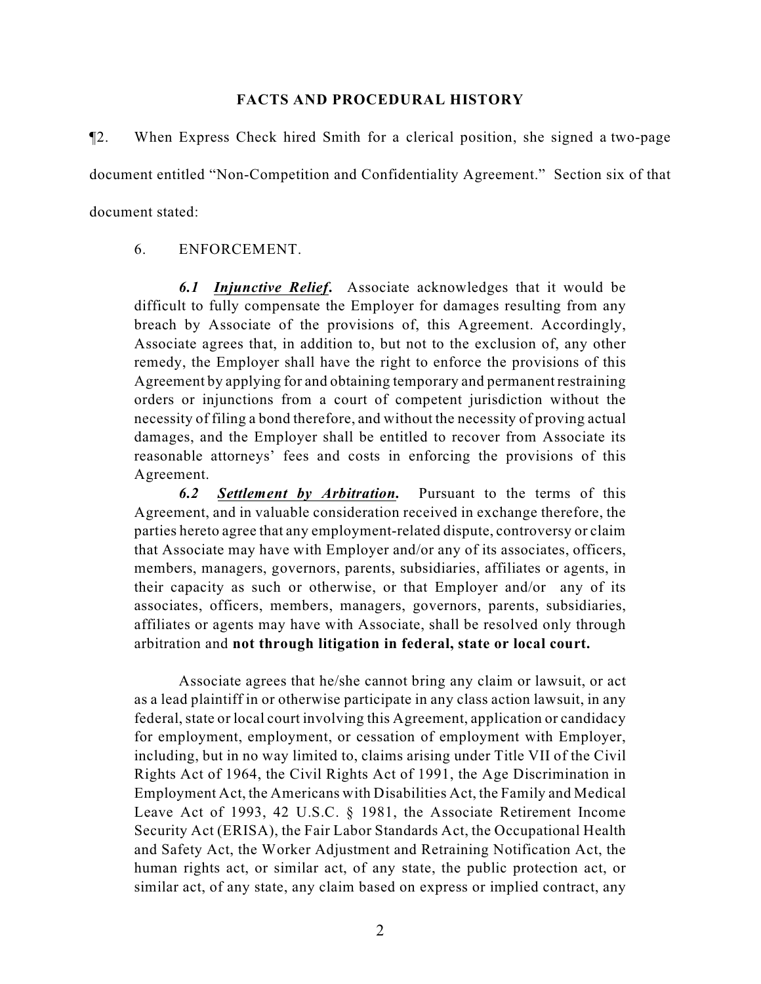#### **FACTS AND PROCEDURAL HISTORY**

¶2. When Express Check hired Smith for a clerical position, she signed a two-page document entitled "Non-Competition and Confidentiality Agreement." Section six of that document stated:

## 6. ENFORCEMENT.

*6.1 Injunctive Relief***.** Associate acknowledges that it would be difficult to fully compensate the Employer for damages resulting from any breach by Associate of the provisions of, this Agreement. Accordingly, Associate agrees that, in addition to, but not to the exclusion of, any other remedy, the Employer shall have the right to enforce the provisions of this Agreement by applying for and obtaining temporary and permanent restraining orders or injunctions from a court of competent jurisdiction without the necessity of filing a bond therefore, and without the necessity of proving actual damages, and the Employer shall be entitled to recover from Associate its reasonable attorneys' fees and costs in enforcing the provisions of this Agreement.

*6.2 Settlement by Arbitration.* Pursuant to the terms of this Agreement, and in valuable consideration received in exchange therefore, the parties hereto agree that any employment-related dispute, controversy or claim that Associate may have with Employer and/or any of its associates, officers, members, managers, governors, parents, subsidiaries, affiliates or agents, in their capacity as such or otherwise, or that Employer and/or any of its associates, officers, members, managers, governors, parents, subsidiaries, affiliates or agents may have with Associate, shall be resolved only through arbitration and **not through litigation in federal, state or local court.**

Associate agrees that he/she cannot bring any claim or lawsuit, or act as a lead plaintiff in or otherwise participate in any class action lawsuit, in any federal, state or local court involving this Agreement, application or candidacy for employment, employment, or cessation of employment with Employer, including, but in no way limited to, claims arising under Title VII of the Civil Rights Act of 1964, the Civil Rights Act of 1991, the Age Discrimination in Employment Act, the Americans with Disabilities Act, the Family and Medical Leave Act of 1993, 42 U.S.C. § 1981, the Associate Retirement Income Security Act (ERISA), the Fair Labor Standards Act, the Occupational Health and Safety Act, the Worker Adjustment and Retraining Notification Act, the human rights act, or similar act, of any state, the public protection act, or similar act, of any state, any claim based on express or implied contract, any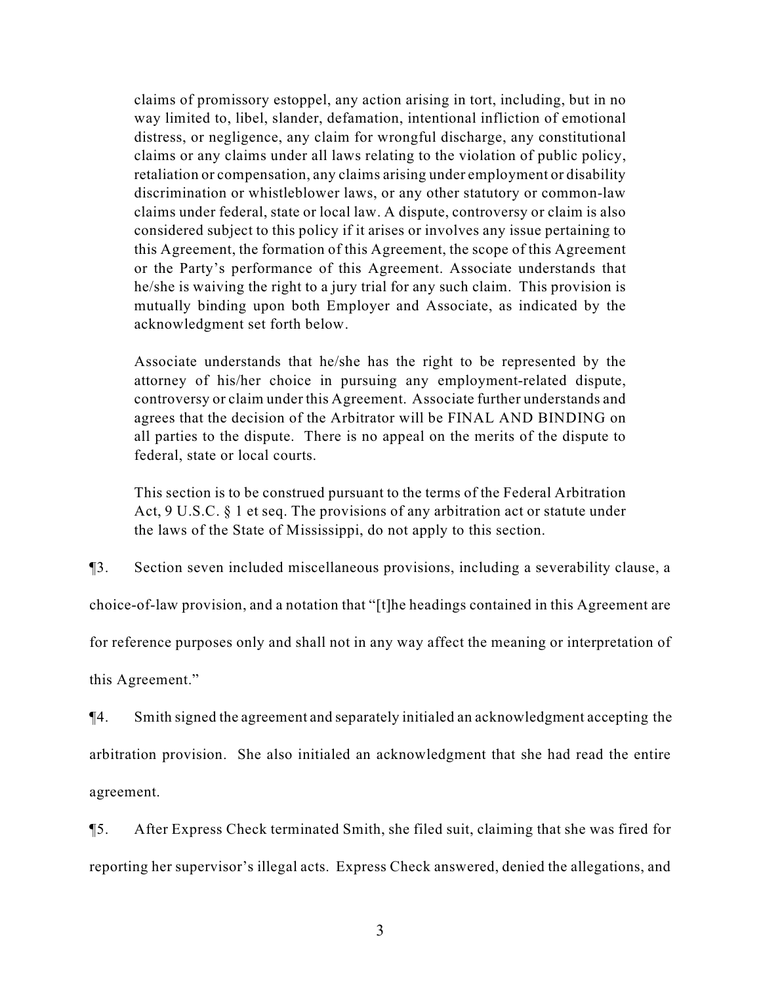claims of promissory estoppel, any action arising in tort, including, but in no way limited to, libel, slander, defamation, intentional infliction of emotional distress, or negligence, any claim for wrongful discharge, any constitutional claims or any claims under all laws relating to the violation of public policy, retaliation or compensation, any claims arising under employment or disability discrimination or whistleblower laws, or any other statutory or common-law claims under federal, state or local law. A dispute, controversy or claim is also considered subject to this policy if it arises or involves any issue pertaining to this Agreement, the formation of this Agreement, the scope of this Agreement or the Party's performance of this Agreement. Associate understands that he/she is waiving the right to a jury trial for any such claim. This provision is mutually binding upon both Employer and Associate, as indicated by the acknowledgment set forth below.

Associate understands that he/she has the right to be represented by the attorney of his/her choice in pursuing any employment-related dispute, controversy or claim under this Agreement. Associate further understands and agrees that the decision of the Arbitrator will be FINAL AND BINDING on all parties to the dispute. There is no appeal on the merits of the dispute to federal, state or local courts.

This section is to be construed pursuant to the terms of the Federal Arbitration Act, 9 U.S.C. § 1 et seq. The provisions of any arbitration act or statute under the laws of the State of Mississippi, do not apply to this section.

¶3. Section seven included miscellaneous provisions, including a severability clause, a

choice-of-law provision, and a notation that "[t]he headings contained in this Agreement are

for reference purposes only and shall not in any way affect the meaning or interpretation of

this Agreement."

¶4. Smith signed the agreement and separately initialed an acknowledgment accepting the arbitration provision. She also initialed an acknowledgment that she had read the entire agreement.

¶5. After Express Check terminated Smith, she filed suit, claiming that she was fired for reporting her supervisor's illegal acts. Express Check answered, denied the allegations, and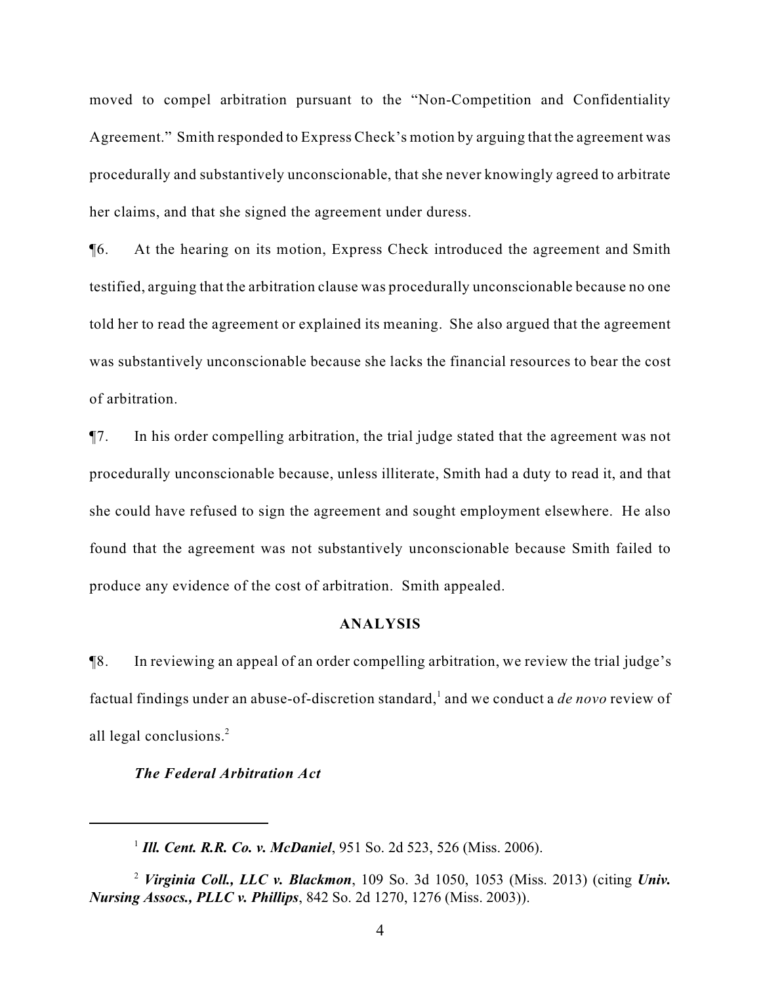moved to compel arbitration pursuant to the "Non-Competition and Confidentiality Agreement." Smith responded to Express Check's motion by arguing that the agreement was procedurally and substantively unconscionable, that she never knowingly agreed to arbitrate her claims, and that she signed the agreement under duress.

¶6. At the hearing on its motion, Express Check introduced the agreement and Smith testified, arguing that the arbitration clause was procedurally unconscionable because no one told her to read the agreement or explained its meaning. She also argued that the agreement was substantively unconscionable because she lacks the financial resources to bear the cost of arbitration.

¶7. In his order compelling arbitration, the trial judge stated that the agreement was not procedurally unconscionable because, unless illiterate, Smith had a duty to read it, and that she could have refused to sign the agreement and sought employment elsewhere. He also found that the agreement was not substantively unconscionable because Smith failed to produce any evidence of the cost of arbitration. Smith appealed.

### **ANALYSIS**

¶8. In reviewing an appeal of an order compelling arbitration, we review the trial judge's factual findings under an abuse-of-discretion standard,<sup>1</sup> and we conduct a *de novo* review of all legal conclusions.<sup>2</sup>

### *The Federal Arbitration Act*

*Ill. Cent. R.R. Co. v. McDaniel*, 951 So. 2d 523, 526 (Miss. 2006). <sup>1</sup>

*Virginia Coll., LLC v. Blackmon*, 109 So. 3d 1050, 1053 (Miss. 2013) (citing *Univ.* <sup>2</sup> *Nursing Assocs., PLLC v. Phillips*, 842 So. 2d 1270, 1276 (Miss. 2003)).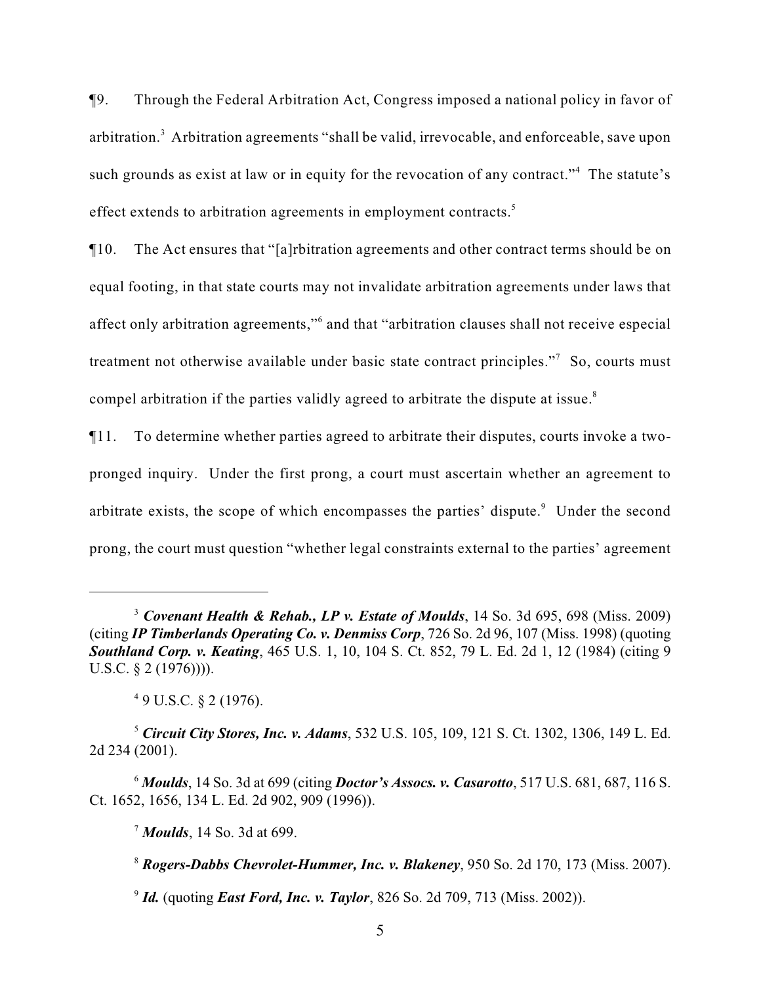¶9. Through the Federal Arbitration Act, Congress imposed a national policy in favor of arbitration.<sup>3</sup> Arbitration agreements "shall be valid, irrevocable, and enforceable, save upon such grounds as exist at law or in equity for the revocation of any contract."<sup>4</sup> The statute's effect extends to arbitration agreements in employment contracts.<sup>5</sup>

¶10. The Act ensures that "[a]rbitration agreements and other contract terms should be on equal footing, in that state courts may not invalidate arbitration agreements under laws that affect only arbitration agreements," and that "arbitration clauses shall not receive especial treatment not otherwise available under basic state contract principles."<sup>7</sup> So, courts must compel arbitration if the parties validly agreed to arbitrate the dispute at issue.<sup>8</sup>

¶11. To determine whether parties agreed to arbitrate their disputes, courts invoke a twopronged inquiry. Under the first prong, a court must ascertain whether an agreement to arbitrate exists, the scope of which encompasses the parties' dispute.<sup>9</sup> Under the second prong, the court must question "whether legal constraints external to the parties' agreement

<sup>&</sup>lt;sup>3</sup> Covenant Health & Rehab., LP v. Estate of Moulds, 14 So. 3d 695, 698 (Miss. 2009) (citing *IP Timberlands Operating Co. v. Denmiss Corp*, 726 So. 2d 96, 107 (Miss. 1998) (quoting *Southland Corp. v. Keating*, 465 U.S. 1, 10, 104 S. Ct. 852, 79 L. Ed. 2d 1, 12 (1984) (citing 9 U.S.C. § 2 (1976)))).

 $49$  U.S.C.  $82$  (1976).

*Circuit City Stores, Inc. v. Adams*, 532 U.S. 105, 109, 121 S. Ct. 1302, 1306, 149 L. Ed. <sup>5</sup> 2d 234 (2001).

*Moulds*, 14 So. 3d at 699 (citing *Doctor's Assocs. v. Casarotto*, 517 U.S. 681, 687, 116 S. <sup>6</sup> Ct. 1652, 1656, 134 L. Ed. 2d 902, 909 (1996)).

<sup>&</sup>lt;sup>7</sup> Moulds, 14 So. 3d at 699.

*Rogers-Dabbs Chevrolet-Hummer, Inc. v. Blakeney*, 950 So. 2d 170, 173 (Miss. 2007). <sup>8</sup>

<sup>&</sup>lt;sup>9</sup> *Id.* (quoting *East Ford, Inc. v. Taylor*, 826 So. 2d 709, 713 (Miss. 2002)).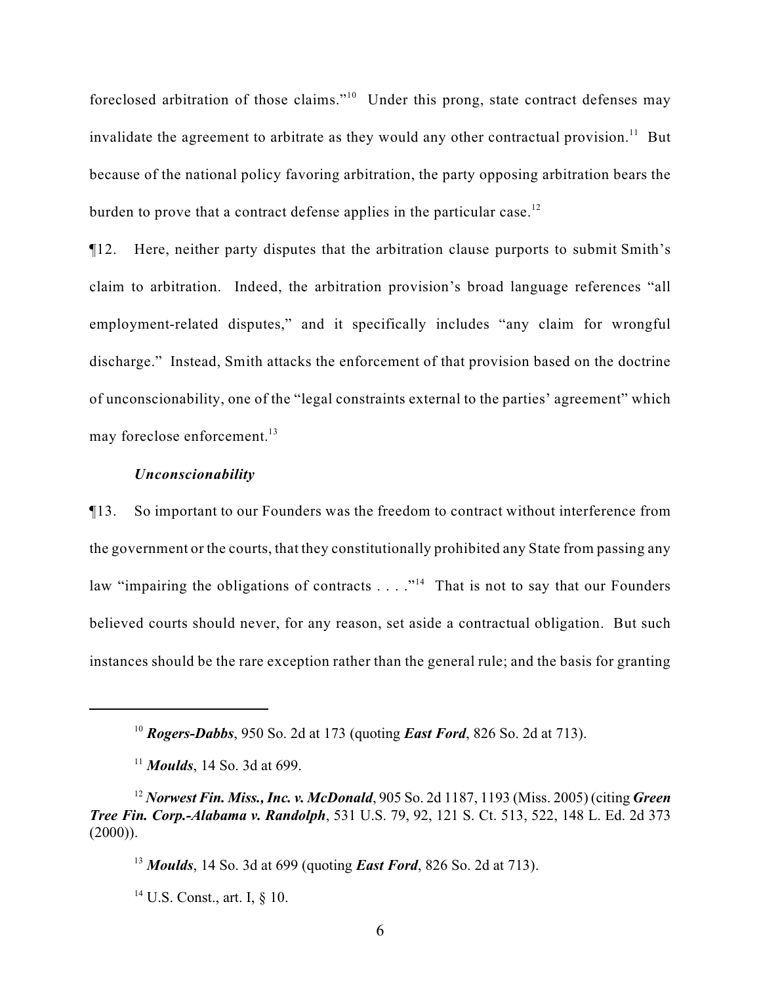foreclosed arbitration of those claims."<sup>10</sup> Under this prong, state contract defenses may invalidate the agreement to arbitrate as they would any other contractual provision.<sup>11</sup> But because of the national policy favoring arbitration, the party opposing arbitration bears the burden to prove that a contract defense applies in the particular case.<sup>12</sup>

¶12. Here, neither party disputes that the arbitration clause purports to submit Smith's claim to arbitration. Indeed, the arbitration provision's broad language references "all employment-related disputes," and it specifically includes "any claim for wrongful discharge." Instead, Smith attacks the enforcement of that provision based on the doctrine of unconscionability, one of the "legal constraints external to the parties' agreement" which may foreclose enforcement.<sup>13</sup>

#### *Unconscionability*

¶13. So important to our Founders was the freedom to contract without interference from the government or the courts, that they constitutionally prohibited any State from passing any law "impairing the obligations of contracts  $\dots$ ."<sup>14</sup> That is not to say that our Founders believed courts should never, for any reason, set aside a contractual obligation. But such instances should be the rare exception rather than the general rule; and the basis for granting

*Rogers-Dabbs*, 950 So. 2d at 173 (quoting *East Ford*, 826 So. 2d at 713). <sup>10</sup>

<sup>&</sup>lt;sup>11</sup> *Moulds*, 14 So. 3d at 699.

*Norwest Fin. Miss., Inc. v. McDonald*, 905 So. 2d 1187, 1193 (Miss. 2005) (citing *Green* <sup>12</sup> *Tree Fin. Corp.-Alabama v. Randolph*, 531 U.S. 79, 92, 121 S. Ct. 513, 522, 148 L. Ed. 2d 373  $(2000)$ ).

<sup>&</sup>lt;sup>13</sup> *Moulds*, 14 So. 3d at 699 (quoting *East Ford*, 826 So. 2d at 713).

 $14$  U.S. Const., art. I,  $\S$  10.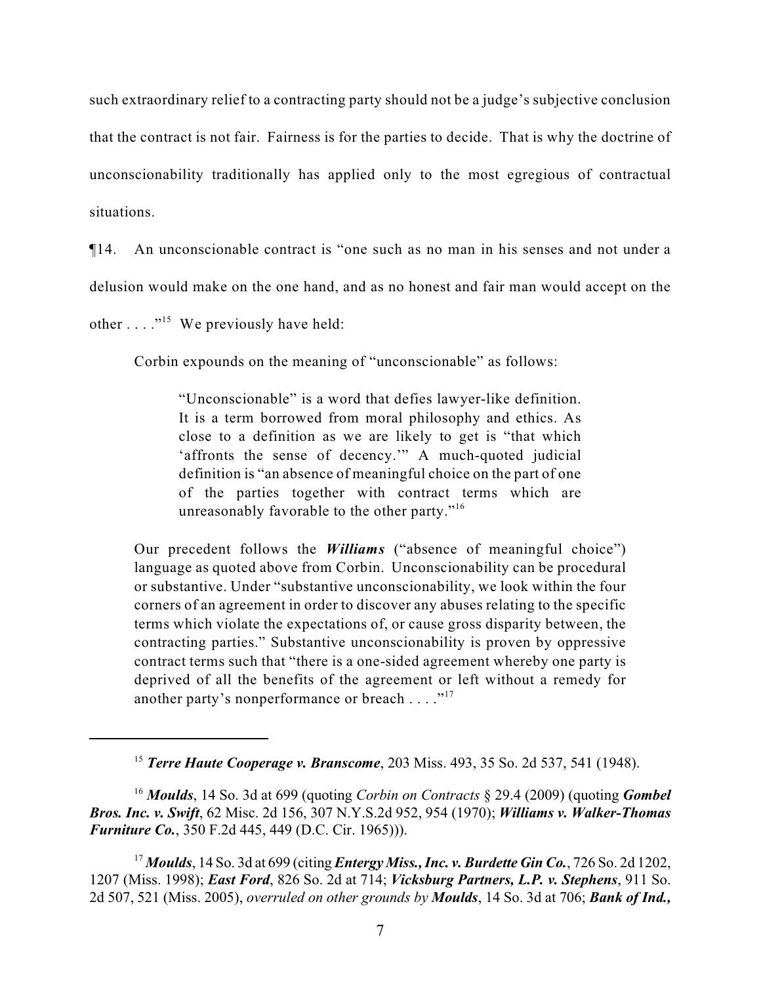such extraordinary relief to a contracting party should not be a judge's subjective conclusion that the contract is not fair. Fairness is for the parties to decide. That is why the doctrine of unconscionability traditionally has applied only to the most egregious of contractual situations.

¶14. An unconscionable contract is "one such as no man in his senses and not under a delusion would make on the one hand, and as no honest and fair man would accept on the other  $\dots$  ."<sup>15</sup> We previously have held:

Corbin expounds on the meaning of "unconscionable" as follows:

"Unconscionable" is a word that defies lawyer-like definition. It is a term borrowed from moral philosophy and ethics. As close to a definition as we are likely to get is "that which 'affronts the sense of decency.'" A much-quoted judicial definition is "an absence of meaningful choice on the part of one of the parties together with contract terms which are unreasonably favorable to the other party."<sup>16</sup>

Our precedent follows the *Williams* ("absence of meaningful choice") language as quoted above from Corbin. Unconscionability can be procedural or substantive. Under "substantive unconscionability, we look within the four corners of an agreement in order to discover any abuses relating to the specific terms which violate the expectations of, or cause gross disparity between, the contracting parties." Substantive unconscionability is proven by oppressive contract terms such that "there is a one-sided agreement whereby one party is deprived of all the benefits of the agreement or left without a remedy for another party's nonperformance or breach  $\dots$ ."<sup>17</sup>

*Terre Haute Cooperage v. Branscome*, 203 Miss. 493, 35 So. 2d 537, 541 (1948). <sup>15</sup>

<sup>&</sup>lt;sup>16</sup> Moulds, 14 So. 3d at 699 (quoting *Corbin on Contracts* § 29.4 (2009) (quoting *Gombel Bros. Inc. v. Swift*, 62 Misc. 2d 156, 307 N.Y.S.2d 952, 954 (1970); *Williams v. Walker-Thomas Furniture Co.*, 350 F.2d 445, 449 (D.C. Cir. 1965))).

*Moulds*, 14 So. 3d at 699 (citing *Entergy Miss., Inc. v. Burdette Gin Co.*, 726 So. 2d 1202, <sup>17</sup> 1207 (Miss. 1998); *East Ford*, 826 So. 2d at 714; *Vicksburg Partners, L.P. v. Stephens*, 911 So. 2d 507, 521 (Miss. 2005), *overruled on other grounds by Moulds*, 14 So. 3d at 706; *Bank of Ind.,*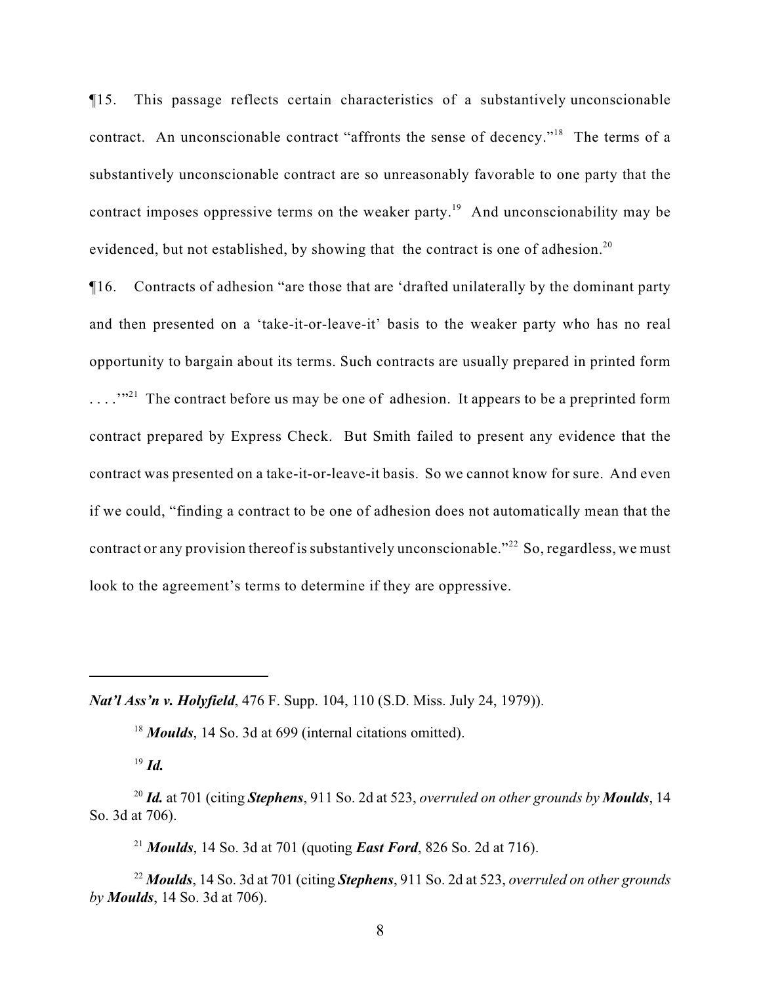¶15. This passage reflects certain characteristics of a substantively unconscionable contract. An unconscionable contract "affronts the sense of decency."<sup>18</sup> The terms of a substantively unconscionable contract are so unreasonably favorable to one party that the contract imposes oppressive terms on the weaker party.<sup>19</sup> And unconscionability may be evidenced, but not established, by showing that the contract is one of adhesion.<sup>20</sup>

¶16. Contracts of adhesion "are those that are 'drafted unilaterally by the dominant party and then presented on a 'take-it-or-leave-it' basis to the weaker party who has no real opportunity to bargain about its terms. Such contracts are usually prepared in printed form ... ...<sup>321</sup> The contract before us may be one of adhesion. It appears to be a preprinted form contract prepared by Express Check. But Smith failed to present any evidence that the contract was presented on a take-it-or-leave-it basis. So we cannot know for sure. And even if we could, "finding a contract to be one of adhesion does not automatically mean that the contract or any provision thereof is substantively unconscionable."<sup>22</sup> So, regardless, we must look to the agreement's terms to determine if they are oppressive.

*Nat'l Ass'n v. Holyfield*, 476 F. Supp. 104, 110 (S.D. Miss. July 24, 1979)).

<sup>18</sup> Moulds, 14 So. 3d at 699 (internal citations omitted).

 $^{19}$  *Id.* 

<sup>21</sup> *Moulds*, 14 So. 3d at 701 (quoting *East Ford*, 826 So. 2d at 716).

*Moulds*, 14 So. 3d at 701 (citing *Stephens*, 911 So. 2d at 523, *overruled on other grounds* <sup>22</sup> *by Moulds*, 14 So. 3d at 706).

<sup>&</sup>lt;sup>20</sup> Id. at 701 (citing *Stephens*, 911 So. 2d at 523, *overruled on other grounds by Moulds*, 14 So. 3d at 706).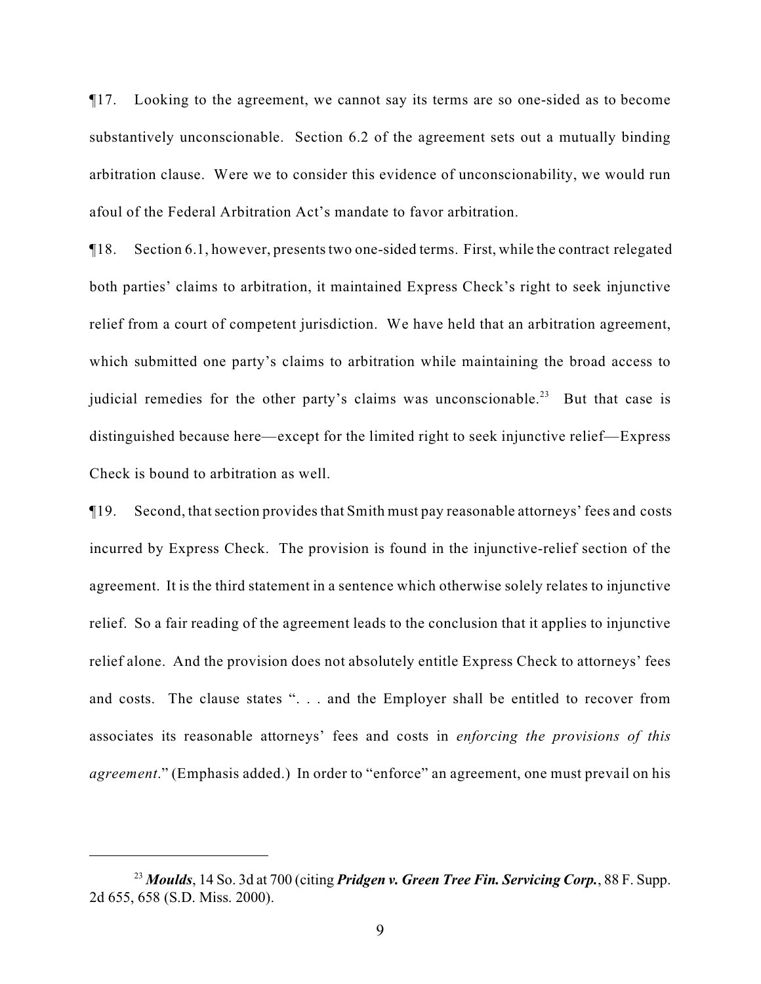¶17. Looking to the agreement, we cannot say its terms are so one-sided as to become substantively unconscionable. Section 6.2 of the agreement sets out a mutually binding arbitration clause. Were we to consider this evidence of unconscionability, we would run afoul of the Federal Arbitration Act's mandate to favor arbitration.

¶18. Section 6.1, however, presents two one-sided terms. First, while the contract relegated both parties' claims to arbitration, it maintained Express Check's right to seek injunctive relief from a court of competent jurisdiction. We have held that an arbitration agreement, which submitted one party's claims to arbitration while maintaining the broad access to judicial remedies for the other party's claims was unconscionable.<sup>23</sup> But that case is distinguished because here—except for the limited right to seek injunctive relief—Express Check is bound to arbitration as well.

¶19. Second, that section provides that Smith must pay reasonable attorneys' fees and costs incurred by Express Check. The provision is found in the injunctive-relief section of the agreement. It is the third statement in a sentence which otherwise solely relates to injunctive relief. So a fair reading of the agreement leads to the conclusion that it applies to injunctive relief alone. And the provision does not absolutely entitle Express Check to attorneys' fees and costs. The clause states ". . . and the Employer shall be entitled to recover from associates its reasonable attorneys' fees and costs in *enforcing the provisions of this agreement*." (Emphasis added.) In order to "enforce" an agreement, one must prevail on his

<sup>&</sup>lt;sup>23</sup> Moulds, 14 So. 3d at 700 (citing *Pridgen v. Green Tree Fin. Servicing Corp.*, 88 F. Supp. 2d 655, 658 (S.D. Miss. 2000).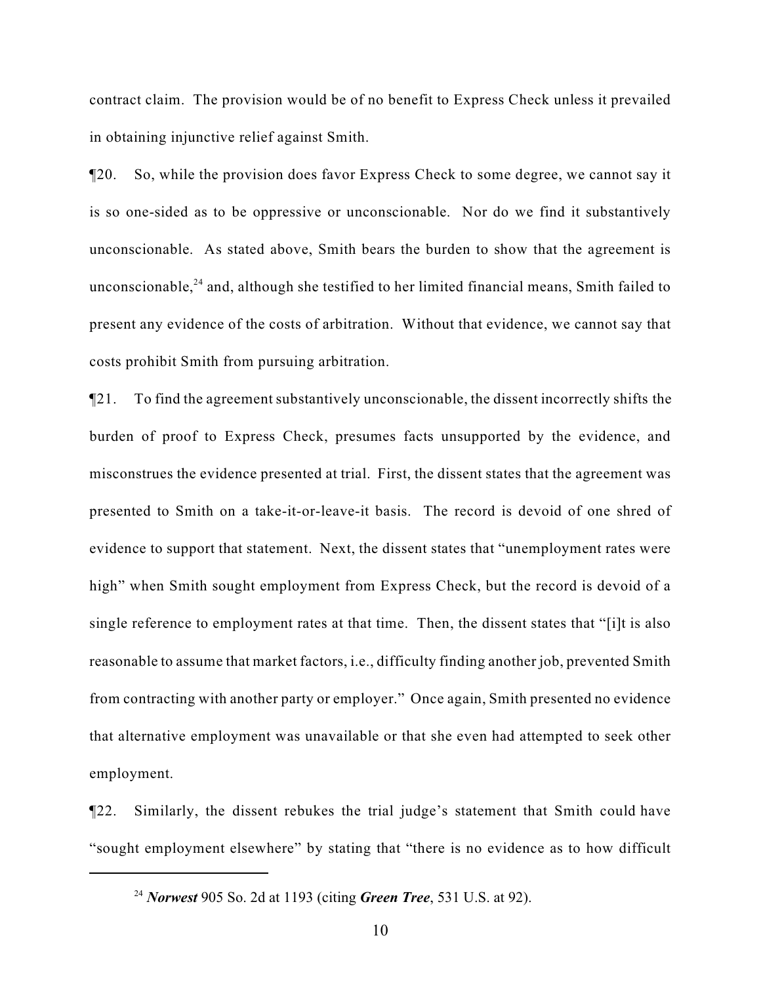contract claim. The provision would be of no benefit to Express Check unless it prevailed in obtaining injunctive relief against Smith.

¶20. So, while the provision does favor Express Check to some degree, we cannot say it is so one-sided as to be oppressive or unconscionable. Nor do we find it substantively unconscionable. As stated above, Smith bears the burden to show that the agreement is unconscionable, $24$  and, although she testified to her limited financial means, Smith failed to present any evidence of the costs of arbitration. Without that evidence, we cannot say that costs prohibit Smith from pursuing arbitration.

¶21. To find the agreement substantively unconscionable, the dissent incorrectly shifts the burden of proof to Express Check, presumes facts unsupported by the evidence, and misconstrues the evidence presented at trial. First, the dissent states that the agreement was presented to Smith on a take-it-or-leave-it basis. The record is devoid of one shred of evidence to support that statement. Next, the dissent states that "unemployment rates were high" when Smith sought employment from Express Check, but the record is devoid of a single reference to employment rates at that time. Then, the dissent states that "[i]t is also reasonable to assume that market factors, i.e., difficulty finding another job, prevented Smith from contracting with another party or employer." Once again, Smith presented no evidence that alternative employment was unavailable or that she even had attempted to seek other employment.

¶22. Similarly, the dissent rebukes the trial judge's statement that Smith could have "sought employment elsewhere" by stating that "there is no evidence as to how difficult

<sup>&</sup>lt;sup>24</sup> Norwest 905 So. 2d at 1193 (citing *Green Tree*, 531 U.S. at 92).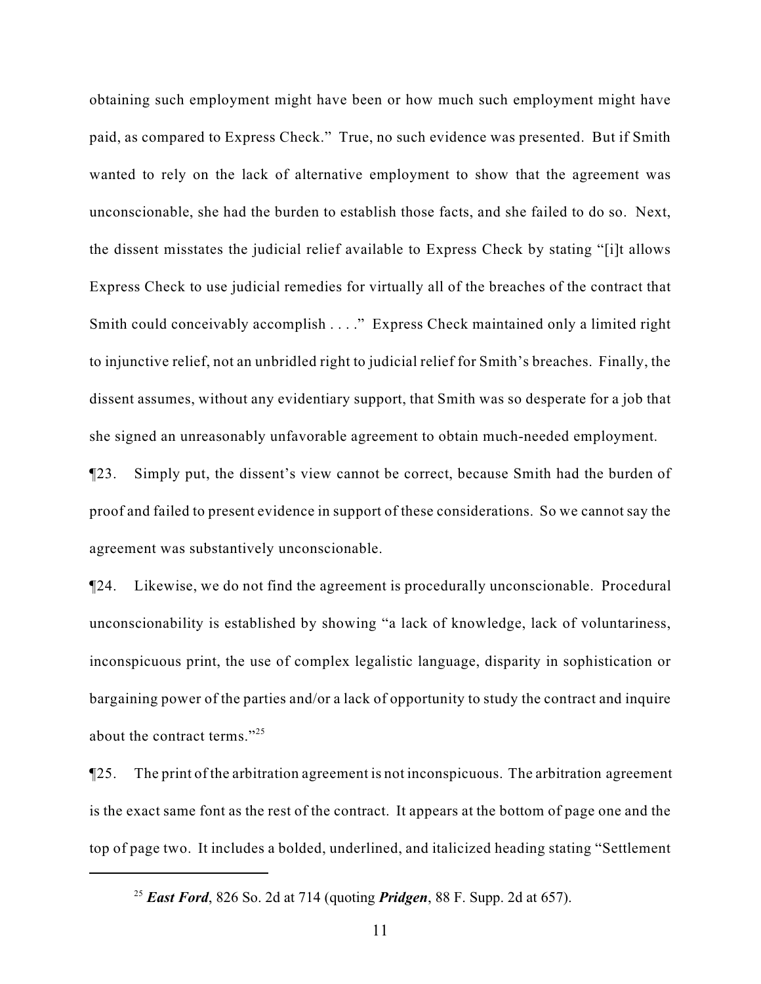obtaining such employment might have been or how much such employment might have paid, as compared to Express Check." True, no such evidence was presented. But if Smith wanted to rely on the lack of alternative employment to show that the agreement was unconscionable, she had the burden to establish those facts, and she failed to do so. Next, the dissent misstates the judicial relief available to Express Check by stating "[i]t allows Express Check to use judicial remedies for virtually all of the breaches of the contract that Smith could conceivably accomplish . . . ." Express Check maintained only a limited right to injunctive relief, not an unbridled right to judicial relief for Smith's breaches. Finally, the dissent assumes, without any evidentiary support, that Smith was so desperate for a job that she signed an unreasonably unfavorable agreement to obtain much-needed employment.

¶23. Simply put, the dissent's view cannot be correct, because Smith had the burden of proof and failed to present evidence in support of these considerations. So we cannot say the agreement was substantively unconscionable.

¶24. Likewise, we do not find the agreement is procedurally unconscionable. Procedural unconscionability is established by showing "a lack of knowledge, lack of voluntariness, inconspicuous print, the use of complex legalistic language, disparity in sophistication or bargaining power of the parties and/or a lack of opportunity to study the contract and inquire about the contract terms."<sup>25</sup>

¶25. The print of the arbitration agreement is not inconspicuous. The arbitration agreement is the exact same font as the rest of the contract. It appears at the bottom of page one and the top of page two. It includes a bolded, underlined, and italicized heading stating "Settlement

<sup>&</sup>lt;sup>25</sup> East Ford, 826 So. 2d at 714 (quoting *Pridgen*, 88 F. Supp. 2d at 657).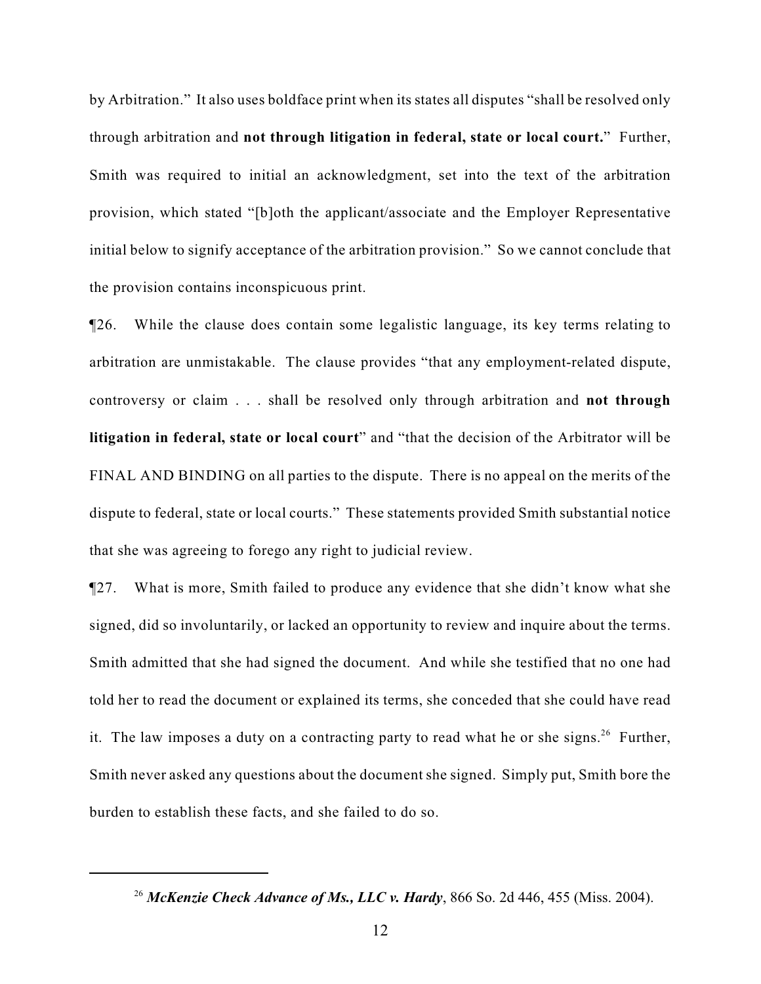by Arbitration." It also uses boldface print when its states all disputes "shall be resolved only through arbitration and **not through litigation in federal, state or local court.**" Further, Smith was required to initial an acknowledgment, set into the text of the arbitration provision, which stated "[b]oth the applicant/associate and the Employer Representative initial below to signify acceptance of the arbitration provision." So we cannot conclude that the provision contains inconspicuous print.

¶26. While the clause does contain some legalistic language, its key terms relating to arbitration are unmistakable. The clause provides "that any employment-related dispute, controversy or claim . . . shall be resolved only through arbitration and **not through litigation in federal, state or local court**" and "that the decision of the Arbitrator will be FINAL AND BINDING on all parties to the dispute. There is no appeal on the merits of the dispute to federal, state or local courts." These statements provided Smith substantial notice that she was agreeing to forego any right to judicial review.

¶27. What is more, Smith failed to produce any evidence that she didn't know what she signed, did so involuntarily, or lacked an opportunity to review and inquire about the terms. Smith admitted that she had signed the document. And while she testified that no one had told her to read the document or explained its terms, she conceded that she could have read it. The law imposes a duty on a contracting party to read what he or she signs.<sup>26</sup> Further, Smith never asked any questions about the document she signed. Simply put, Smith bore the burden to establish these facts, and she failed to do so.

<sup>&</sup>lt;sup>26</sup> McKenzie Check Advance of Ms., LLC v. Hardy, 866 So. 2d 446, 455 (Miss. 2004).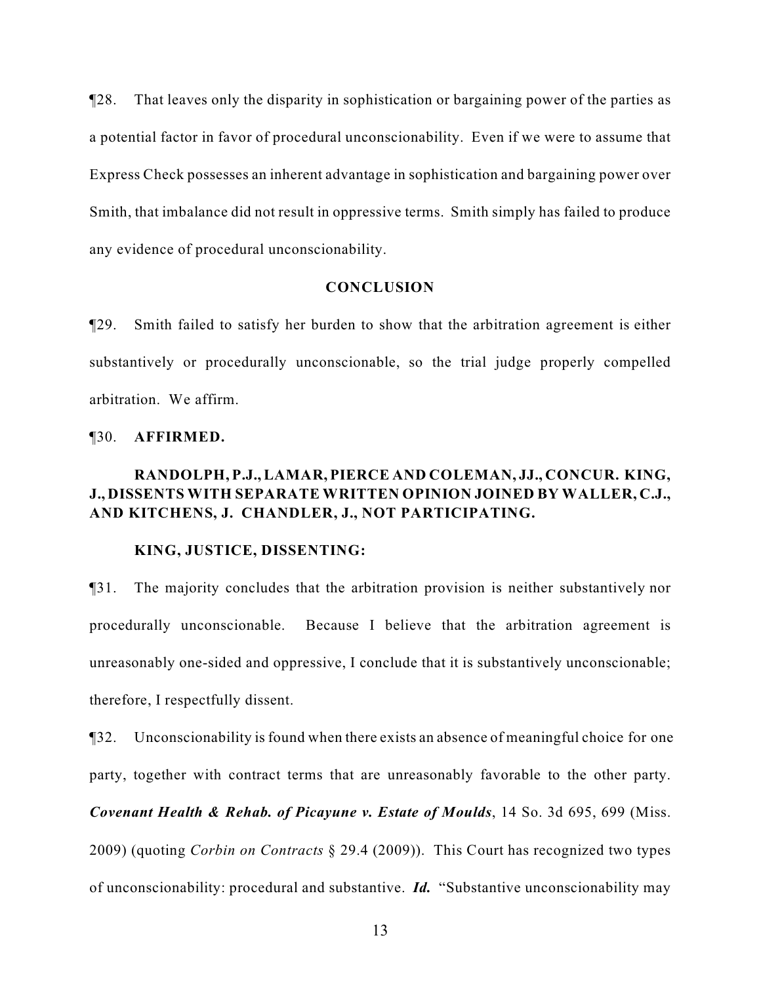¶28. That leaves only the disparity in sophistication or bargaining power of the parties as a potential factor in favor of procedural unconscionability. Even if we were to assume that Express Check possesses an inherent advantage in sophistication and bargaining power over Smith, that imbalance did not result in oppressive terms. Smith simply has failed to produce any evidence of procedural unconscionability.

### **CONCLUSION**

¶29. Smith failed to satisfy her burden to show that the arbitration agreement is either substantively or procedurally unconscionable, so the trial judge properly compelled arbitration. We affirm.

#### ¶30. **AFFIRMED.**

# **RANDOLPH, P.J., LAMAR, PIERCE AND COLEMAN, JJ., CONCUR. KING, J., DISSENTS WITH SEPARATE WRITTEN OPINION JOINED BY WALLER, C.J., AND KITCHENS, J. CHANDLER, J., NOT PARTICIPATING.**

#### **KING, JUSTICE, DISSENTING:**

¶31. The majority concludes that the arbitration provision is neither substantively nor procedurally unconscionable. Because I believe that the arbitration agreement is unreasonably one-sided and oppressive, I conclude that it is substantively unconscionable; therefore, I respectfully dissent.

¶32. Unconscionability is found when there exists an absence of meaningful choice for one party, together with contract terms that are unreasonably favorable to the other party. *Covenant Health & Rehab. of Picayune v. Estate of Moulds*, 14 So. 3d 695, 699 (Miss. 2009) (quoting *Corbin on Contracts* § 29.4 (2009)). This Court has recognized two types of unconscionability: procedural and substantive. *Id.* "Substantive unconscionability may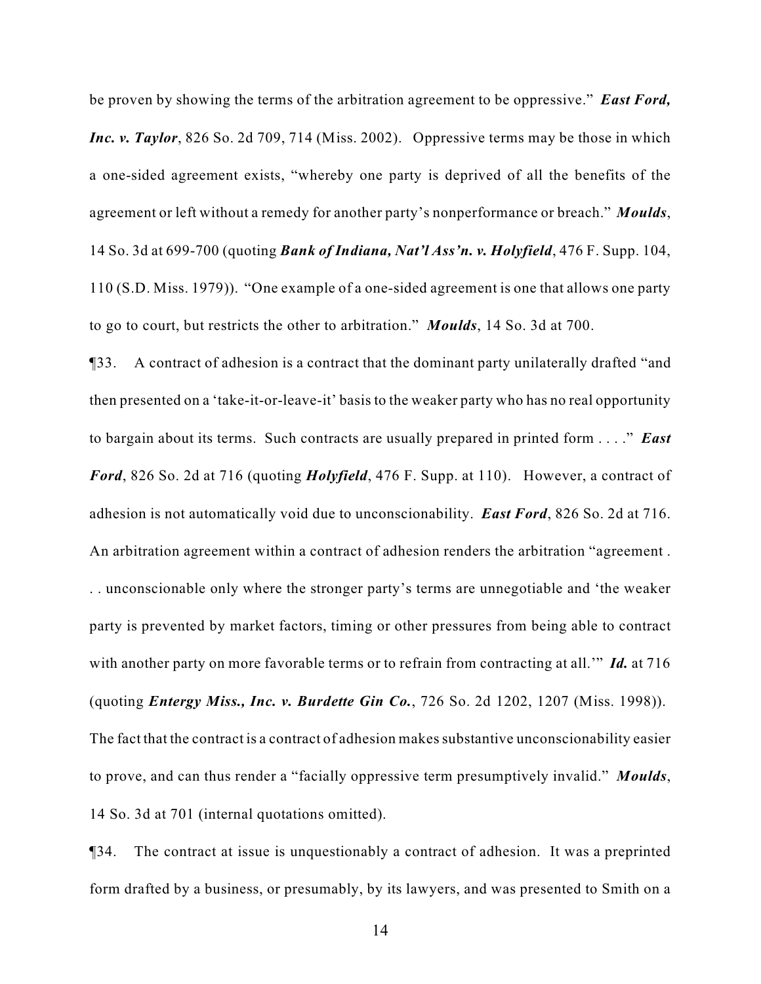be proven by showing the terms of the arbitration agreement to be oppressive." *East Ford, Inc. v. Taylor*, 826 So. 2d 709, 714 (Miss. 2002). Oppressive terms may be those in which a one-sided agreement exists, "whereby one party is deprived of all the benefits of the agreement or left without a remedy for another party's nonperformance or breach." *Moulds*, 14 So. 3d at 699-700 (quoting *Bank of Indiana, Nat'l Ass'n. v. Holyfield*, 476 F. Supp. 104, 110 (S.D. Miss. 1979)). "One example of a one-sided agreement is one that allows one party to go to court, but restricts the other to arbitration." *Moulds*, 14 So. 3d at 700.

¶33. A contract of adhesion is a contract that the dominant party unilaterally drafted "and then presented on a 'take-it-or-leave-it' basis to the weaker party who has no real opportunity to bargain about its terms. Such contracts are usually prepared in printed form . . . ." *East Ford*, 826 So. 2d at 716 (quoting *Holyfield*, 476 F. Supp. at 110). However, a contract of adhesion is not automatically void due to unconscionability. *East Ford*, 826 So. 2d at 716. An arbitration agreement within a contract of adhesion renders the arbitration "agreement . . . unconscionable only where the stronger party's terms are unnegotiable and 'the weaker party is prevented by market factors, timing or other pressures from being able to contract with another party on more favorable terms or to refrain from contracting at all.'" *Id.* at 716 (quoting *Entergy Miss., Inc. v. Burdette Gin Co.*, 726 So. 2d 1202, 1207 (Miss. 1998)). The fact that the contract is a contract of adhesion makes substantive unconscionability easier to prove, and can thus render a "facially oppressive term presumptively invalid." *Moulds*, 14 So. 3d at 701 (internal quotations omitted).

¶34. The contract at issue is unquestionably a contract of adhesion. It was a preprinted form drafted by a business, or presumably, by its lawyers, and was presented to Smith on a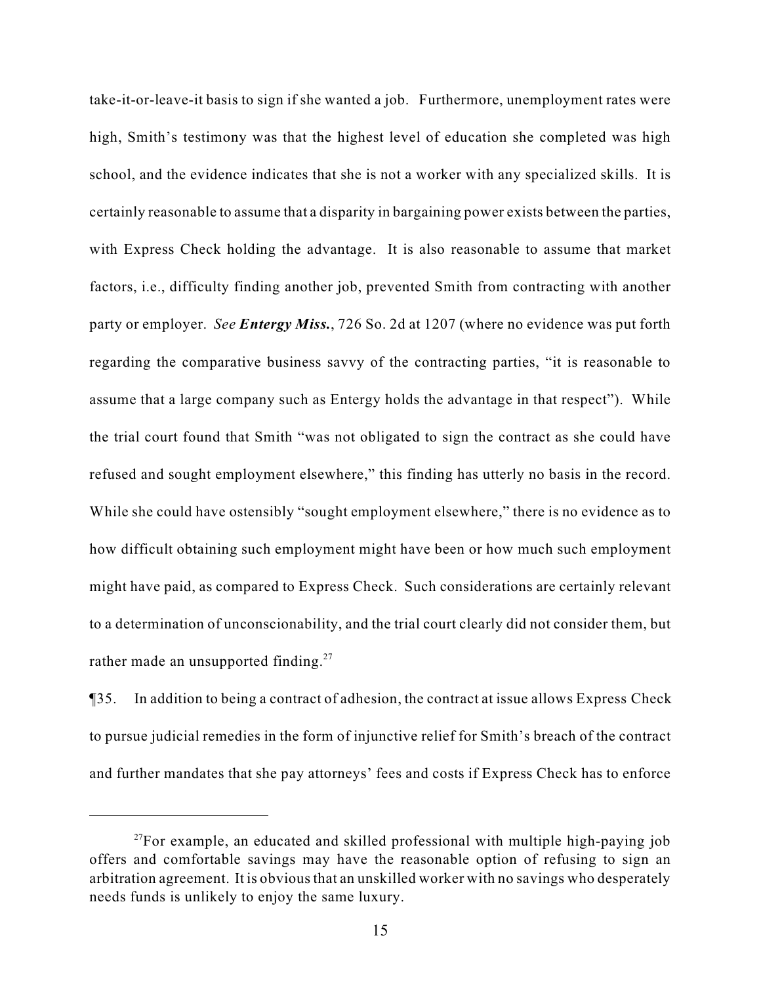take-it-or-leave-it basis to sign if she wanted a job. Furthermore, unemployment rates were high, Smith's testimony was that the highest level of education she completed was high school, and the evidence indicates that she is not a worker with any specialized skills. It is certainly reasonable to assume that a disparity in bargaining power exists between the parties, with Express Check holding the advantage. It is also reasonable to assume that market factors, i.e., difficulty finding another job, prevented Smith from contracting with another party or employer. *See Entergy Miss.*, 726 So. 2d at 1207 (where no evidence was put forth regarding the comparative business savvy of the contracting parties, "it is reasonable to assume that a large company such as Entergy holds the advantage in that respect"). While the trial court found that Smith "was not obligated to sign the contract as she could have refused and sought employment elsewhere," this finding has utterly no basis in the record. While she could have ostensibly "sought employment elsewhere," there is no evidence as to how difficult obtaining such employment might have been or how much such employment might have paid, as compared to Express Check. Such considerations are certainly relevant to a determination of unconscionability, and the trial court clearly did not consider them, but rather made an unsupported finding. $27$ 

¶35. In addition to being a contract of adhesion, the contract at issue allows Express Check to pursue judicial remedies in the form of injunctive relief for Smith's breach of the contract and further mandates that she pay attorneys' fees and costs if Express Check has to enforce

 $^{27}$ For example, an educated and skilled professional with multiple high-paying job offers and comfortable savings may have the reasonable option of refusing to sign an arbitration agreement. It is obvious that an unskilled worker with no savings who desperately needs funds is unlikely to enjoy the same luxury.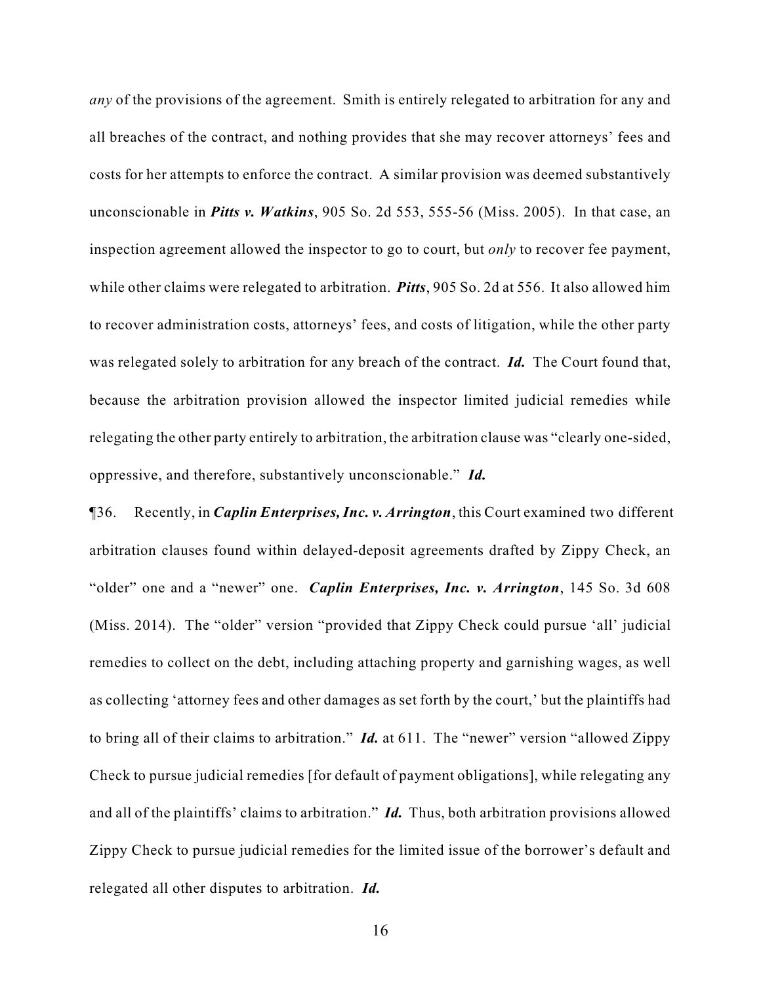*any* of the provisions of the agreement. Smith is entirely relegated to arbitration for any and all breaches of the contract, and nothing provides that she may recover attorneys' fees and costs for her attempts to enforce the contract. A similar provision was deemed substantively unconscionable in *Pitts v. Watkins*, 905 So. 2d 553, 555-56 (Miss. 2005). In that case, an inspection agreement allowed the inspector to go to court, but *only* to recover fee payment, while other claims were relegated to arbitration. *Pitts*, 905 So. 2d at 556. It also allowed him to recover administration costs, attorneys' fees, and costs of litigation, while the other party was relegated solely to arbitration for any breach of the contract. *Id.* The Court found that, because the arbitration provision allowed the inspector limited judicial remedies while relegating the other party entirely to arbitration, the arbitration clause was "clearly one-sided, oppressive, and therefore, substantively unconscionable." *Id.*

¶36. Recently, in *Caplin Enterprises, Inc. v. Arrington*, this Court examined two different arbitration clauses found within delayed-deposit agreements drafted by Zippy Check, an "older" one and a "newer" one. *Caplin Enterprises, Inc. v. Arrington*, 145 So. 3d 608 (Miss. 2014). The "older" version "provided that Zippy Check could pursue 'all' judicial remedies to collect on the debt, including attaching property and garnishing wages, as well as collecting 'attorney fees and other damages as set forth by the court,' but the plaintiffs had to bring all of their claims to arbitration." *Id.* at 611. The "newer" version "allowed Zippy Check to pursue judicial remedies [for default of payment obligations], while relegating any and all of the plaintiffs' claims to arbitration." *Id.* Thus, both arbitration provisions allowed Zippy Check to pursue judicial remedies for the limited issue of the borrower's default and relegated all other disputes to arbitration. *Id.*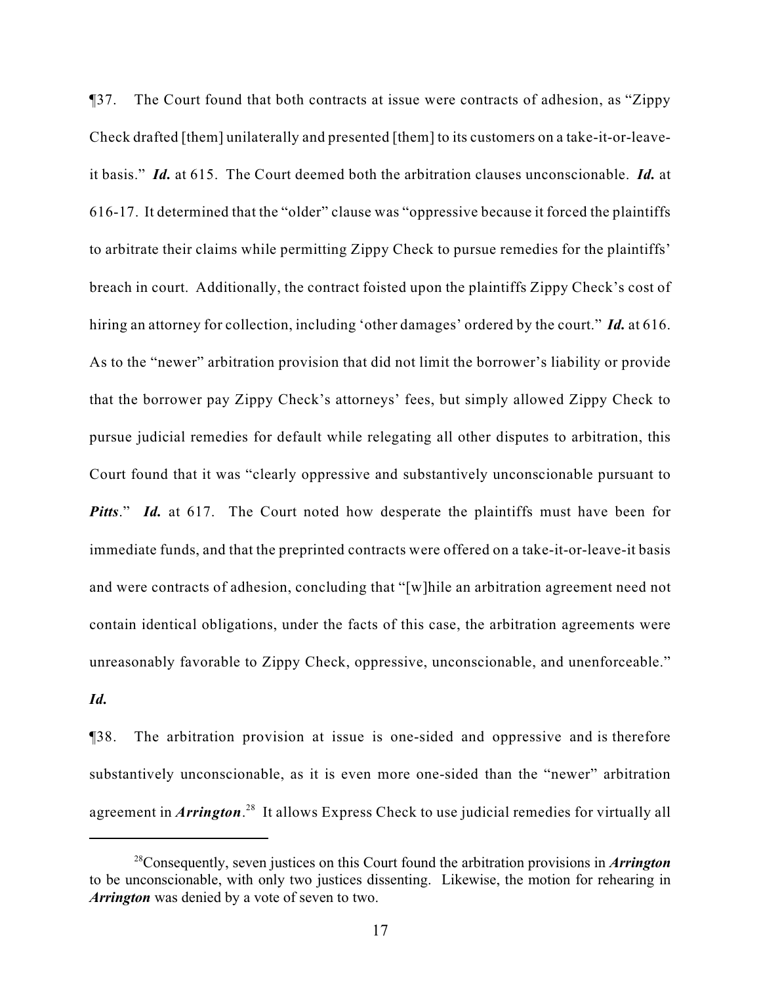¶37. The Court found that both contracts at issue were contracts of adhesion, as "Zippy Check drafted [them] unilaterally and presented [them] to its customers on a take-it-or-leaveit basis." *Id.* at 615. The Court deemed both the arbitration clauses unconscionable. *Id.* at 616-17. It determined that the "older" clause was "oppressive because it forced the plaintiffs to arbitrate their claims while permitting Zippy Check to pursue remedies for the plaintiffs' breach in court. Additionally, the contract foisted upon the plaintiffs Zippy Check's cost of hiring an attorney for collection, including 'other damages' ordered by the court." *Id.* at 616. As to the "newer" arbitration provision that did not limit the borrower's liability or provide that the borrower pay Zippy Check's attorneys' fees, but simply allowed Zippy Check to pursue judicial remedies for default while relegating all other disputes to arbitration, this Court found that it was "clearly oppressive and substantively unconscionable pursuant to *Pitts*." *Id.* at 617. The Court noted how desperate the plaintiffs must have been for immediate funds, and that the preprinted contracts were offered on a take-it-or-leave-it basis and were contracts of adhesion, concluding that "[w]hile an arbitration agreement need not contain identical obligations, under the facts of this case, the arbitration agreements were unreasonably favorable to Zippy Check, oppressive, unconscionable, and unenforceable."

*Id.*

¶38. The arbitration provision at issue is one-sided and oppressive and is therefore substantively unconscionable, as it is even more one-sided than the "newer" arbitration agreement in *Arrington*<sup>28</sup> It allows Express Check to use judicial remedies for virtually all

<sup>&</sup>lt;sup>28</sup> Consequently, seven justices on this Court found the arbitration provisions in *Arrington* to be unconscionable, with only two justices dissenting. Likewise, the motion for rehearing in *Arrington* was denied by a vote of seven to two.